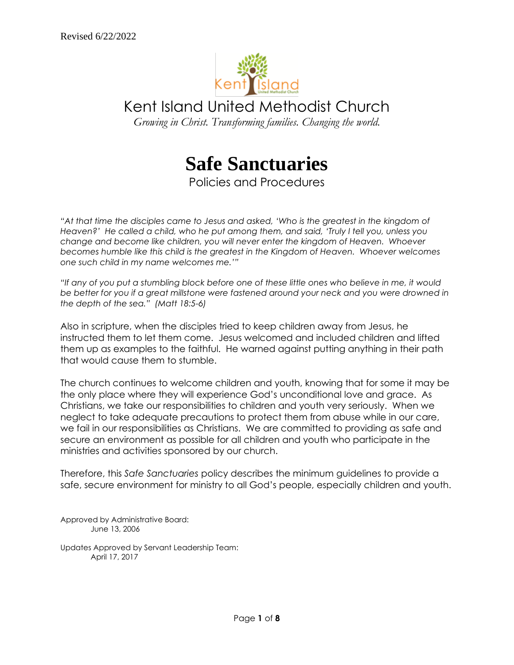

Kent Island United Methodist Church

*Growing in Christ. Transforming families. Changing the world.*



Policies and Procedures

"At that time the disciples came to Jesus and asked, 'Who is the greatest in the kingdom of *Heaven?' He called a child, who he put among them, and said, 'Truly I tell you, unless you change and become like children, you will never enter the kingdom of Heaven. Whoever becomes humble like this child is the greatest in the Kingdom of Heaven. Whoever welcomes one such child in my name welcomes me.'"*

*"If any of you put a stumbling block before one of these little ones who believe in me, it would be better for you if a great millstone were fastened around your neck and you were drowned in the depth of the sea." (Matt 18:5-6)*

Also in scripture, when the disciples tried to keep children away from Jesus, he instructed them to let them come. Jesus welcomed and included children and lifted them up as examples to the faithful. He warned against putting anything in their path that would cause them to stumble.

The church continues to welcome children and youth, knowing that for some it may be the only place where they will experience God's unconditional love and grace. As Christians, we take our responsibilities to children and youth very seriously. When we neglect to take adequate precautions to protect them from abuse while in our care, we fail in our responsibilities as Christians. We are committed to providing as safe and secure an environment as possible for all children and youth who participate in the ministries and activities sponsored by our church.

Therefore, this *Safe Sanctuaries* policy describes the minimum guidelines to provide a safe, secure environment for ministry to all God's people, especially children and youth.

Approved by Administrative Board: June 13, 2006

Updates Approved by Servant Leadership Team: April 17, 2017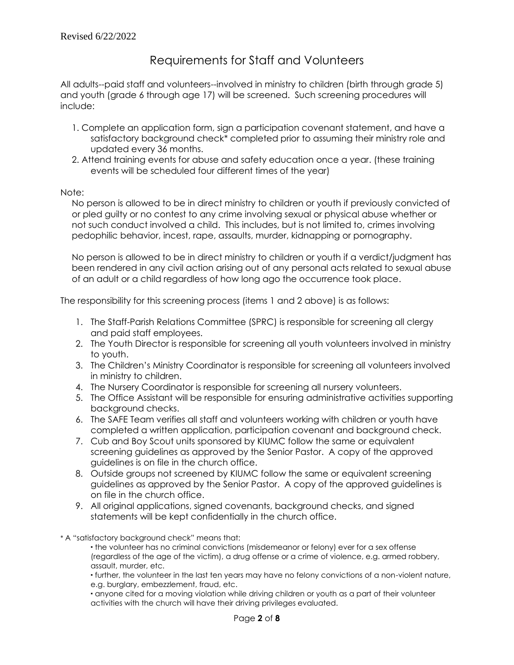# Requirements for Staff and Volunteers

All adults--paid staff and volunteers--involved in ministry to children (birth through grade 5) and youth (grade 6 through age 17) will be screened. Such screening procedures will include:

- 1. Complete an application form, sign a participation covenant statement, and have a satisfactory background check\* completed prior to assuming their ministry role and updated every 36 months.
- 2. Attend training events for abuse and safety education once a year. (these training events will be scheduled four different times of the year)

Note:

No person is allowed to be in direct ministry to children or youth if previously convicted of or pled guilty or no contest to any crime involving sexual or physical abuse whether or not such conduct involved a child. This includes, but is not limited to, crimes involving pedophilic behavior, incest, rape, assaults, murder, kidnapping or pornography.

No person is allowed to be in direct ministry to children or youth if a verdict/judgment has been rendered in any civil action arising out of any personal acts related to sexual abuse of an adult or a child regardless of how long ago the occurrence took place.

The responsibility for this screening process (items 1 and 2 above) is as follows:

- 1. The Staff-Parish Relations Committee (SPRC) is responsible for screening all clergy and paid staff employees.
- 2. The Youth Director is responsible for screening all youth volunteers involved in ministry to youth.
- 3. The Children's Ministry Coordinator is responsible for screening all volunteers involved in ministry to children.
- 4. The Nursery Coordinator is responsible for screening all nursery volunteers.
- 5. The Office Assistant will be responsible for ensuring administrative activities supporting background checks.
- 6. The SAFE Team verifies all staff and volunteers working with children or youth have completed a written application, participation covenant and background check.
- 7. Cub and Boy Scout units sponsored by KIUMC follow the same or equivalent screening guidelines as approved by the Senior Pastor. A copy of the approved guidelines is on file in the church office.
- 8. Outside groups not screened by KIUMC follow the same or equivalent screening guidelines as approved by the Senior Pastor. A copy of the approved guidelines is on file in the church office.
- 9. All original applications, signed covenants, background checks, and signed statements will be kept confidentially in the church office.
- \* A "satisfactory background check" means that:

 the volunteer has no criminal convictions (misdemeanor or felony) ever for a sex offense (regardless of the age of the victim), a drug offense or a crime of violence, e.g. armed robbery, assault, murder, etc.

 further, the volunteer in the last ten years may have no felony convictions of a non-violent nature, e.g. burglary, embezzlement, fraud, etc.

 anyone cited for a moving violation while driving children or youth as a part of their volunteer activities with the church will have their driving privileges evaluated.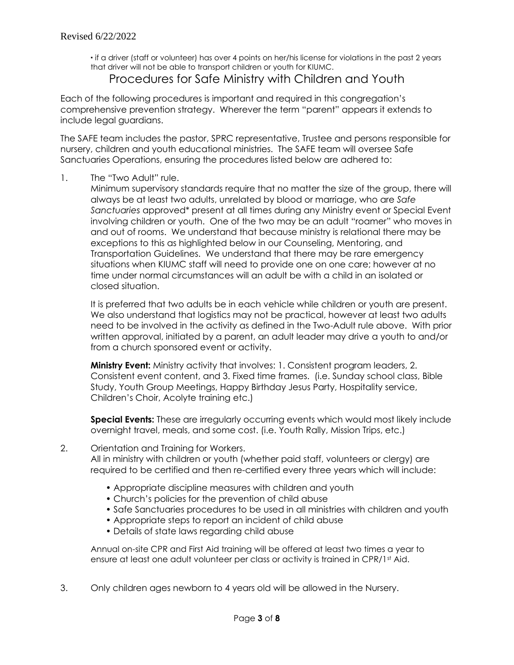if a driver (staff or volunteer) has over 4 points on her/his license for violations in the past 2 years that driver will not be able to transport children or youth for KIUMC.

## Procedures for Safe Ministry with Children and Youth

Each of the following procedures is important and required in this congregation's comprehensive prevention strategy. Wherever the term "parent" appears it extends to include legal guardians.

The SAFE team includes the pastor, SPRC representative, Trustee and persons responsible for nursery, children and youth educational ministries. The SAFE team will oversee Safe Sanctuaries Operations, ensuring the procedures listed below are adhered to:

### 1. The "Two Adult" rule.

Minimum supervisory standards require that no matter the size of the group, there will always be at least two adults, unrelated by blood or marriage, who are *Safe Sanctuaries* approved\* present at all times during any Ministry event or Special Event involving children or youth. One of the two may be an adult "roamer" who moves in and out of rooms. We understand that because ministry is relational there may be exceptions to this as highlighted below in our Counseling, Mentoring, and Transportation Guidelines. We understand that there may be rare emergency situations when KIUMC staff will need to provide one on one care; however at no time under normal circumstances will an adult be with a child in an isolated or closed situation.

It is preferred that two adults be in each vehicle while children or youth are present. We also understand that logistics may not be practical, however at least two adults need to be involved in the activity as defined in the Two-Adult rule above. With prior written approval, initiated by a parent, an adult leader may drive a youth to and/or from a church sponsored event or activity.

**Ministry Event:** Ministry activity that involves: 1. Consistent program leaders, 2. Consistent event content, and 3. Fixed time frames. (i.e. Sunday school class, Bible Study, Youth Group Meetings, Happy Birthday Jesus Party, Hospitality service, Children's Choir, Acolyte training etc.)

**Special Events:** These are irregularly occurring events which would most likely include overnight travel, meals, and some cost. (i.e. Youth Rally, Mission Trips, etc.)

#### 2. Orientation and Training for Workers.

All in ministry with children or youth (whether paid staff, volunteers or clergy) are required to be certified and then re-certified every three years which will include:

- Appropriate discipline measures with children and youth
- Church's policies for the prevention of child abuse
- Safe Sanctuaries procedures to be used in all ministries with children and youth
- Appropriate steps to report an incident of child abuse
- Details of state laws regarding child abuse

Annual on-site CPR and First Aid training will be offered at least two times a year to ensure at least one adult volunteer per class or activity is trained in CPR/1st Aid.

3. Only children ages newborn to 4 years old will be allowed in the Nursery.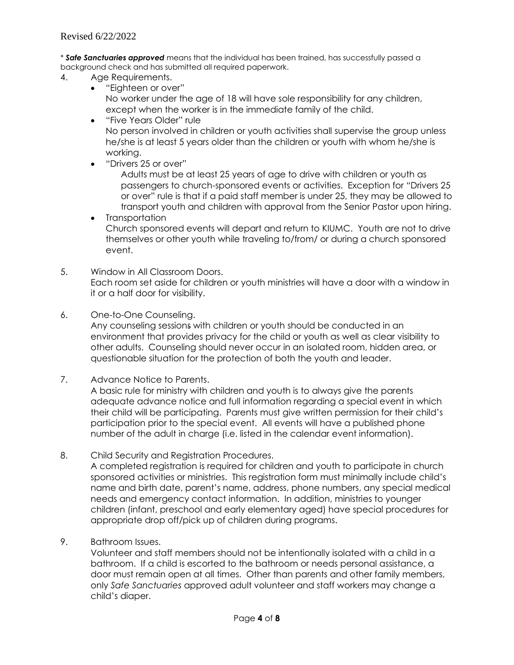\* *Safe Sanctuaries approved* means that the individual has been trained, has successfully passed a background check and has submitted all required paperwork.

- 4. Age Requirements.
	- "Eighteen or over" No worker under the age of 18 will have sole responsibility for any children, except when the worker is in the immediate family of the child.
	- "Five Years Older" rule No person involved in children or youth activities shall supervise the group unless he/she is at least 5 years older than the children or youth with whom he/she is working.
	- "Drivers 25 or over"

Adults must be at least 25 years of age to drive with children or youth as passengers to church-sponsored events or activities. Exception for "Drivers 25 or over" rule is that if a paid staff member is under 25, they may be allowed to transport youth and children with approval from the Senior Pastor upon hiring.

- Transportation Church sponsored events will depart and return to KIUMC. Youth are not to drive themselves or other youth while traveling to/from/ or during a church sponsored event.
- 5. Window in All Classroom Doors. Each room set aside for children or youth ministries will have a door with a window in it or a half door for visibility.
- 6. One-to-One Counseling.

Any counseling sessions with children or youth should be conducted in an environment that provides privacy for the child or youth as well as clear visibility to other adults. Counseling should never occur in an isolated room, hidden area, or questionable situation for the protection of both the youth and leader.

7. Advance Notice to Parents.

A basic rule for ministry with children and youth is to always give the parents adequate advance notice and full information regarding a special event in which their child will be participating. Parents must give written permission for their child's participation prior to the special event. All events will have a published phone number of the adult in charge (i.e. listed in the calendar event information).

8. Child Security and Registration Procedures.

A completed registration is required for children and youth to participate in church sponsored activities or ministries. This registration form must minimally include child's name and birth date, parent's name, address, phone numbers, any special medical needs and emergency contact information. In addition, ministries to younger children (infant, preschool and early elementary aged) have special procedures for appropriate drop off/pick up of children during programs.

9. Bathroom Issues.

Volunteer and staff members should not be intentionally isolated with a child in a bathroom. If a child is escorted to the bathroom or needs personal assistance, a door must remain open at all times. Other than parents and other family members, only *Safe Sanctuaries* approved adult volunteer and staff workers may change a child's diaper.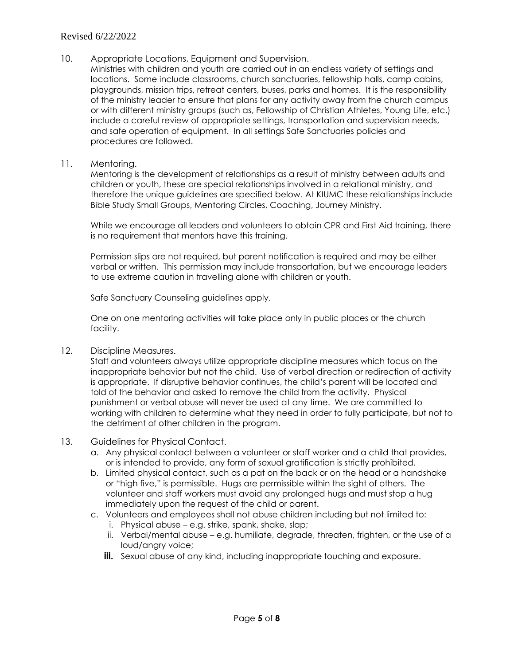### Revised 6/22/2022

- 10. Appropriate Locations, Equipment and Supervision.
	- Ministries with children and youth are carried out in an endless variety of settings and locations. Some include classrooms, church sanctuaries, fellowship halls, camp cabins, playgrounds, mission trips, retreat centers, buses, parks and homes. It is the responsibility of the ministry leader to ensure that plans for any activity away from the church campus or with different ministry groups (such as, Fellowship of Christian Athletes, Young Life, etc.) include a careful review of appropriate settings, transportation and supervision needs, and safe operation of equipment. In all settings Safe Sanctuaries policies and procedures are followed.
- 11. Mentoring.

Mentoring is the development of relationships as a result of ministry between adults and children or youth, these are special relationships involved in a relational ministry, and therefore the unique guidelines are specified below. At KIUMC these relationships include Bible Study Small Groups, Mentoring Circles, Coaching, Journey Ministry.

While we encourage all leaders and volunteers to obtain CPR and First Aid training, there is no requirement that mentors have this training.

Permission slips are not required, but parent notification is required and may be either verbal or written. This permission may include transportation, but we encourage leaders to use extreme caution in travelling alone with children or youth.

Safe Sanctuary Counseling guidelines apply.

One on one mentoring activities will take place only in public places or the church facility.

12. Discipline Measures.

Staff and volunteers always utilize appropriate discipline measures which focus on the inappropriate behavior but not the child. Use of verbal direction or redirection of activity is appropriate. If disruptive behavior continues, the child's parent will be located and told of the behavior and asked to remove the child from the activity. Physical punishment or verbal abuse will never be used at any time. We are committed to working with children to determine what they need in order to fully participate, but not to the detriment of other children in the program.

#### 13. Guidelines for Physical Contact.

- a. Any physical contact between a volunteer or staff worker and a child that provides, or is intended to provide, any form of sexual gratification is strictly prohibited.
- b. Limited physical contact, such as a pat on the back or on the head or a handshake or "high five," is permissible. Hugs are permissible within the sight of others. The volunteer and staff workers must avoid any prolonged hugs and must stop a hug immediately upon the request of the child or parent.
- c. Volunteers and employees shall not abuse children including but not limited to:
	- i. Physical abuse e.g. strike, spank, shake, slap;
	- ii. Verbal/mental abuse e.g. humiliate, degrade, threaten, frighten, or the use of a loud/angry voice;
	- **iii.** Sexual abuse of any kind, including inappropriate touching and exposure.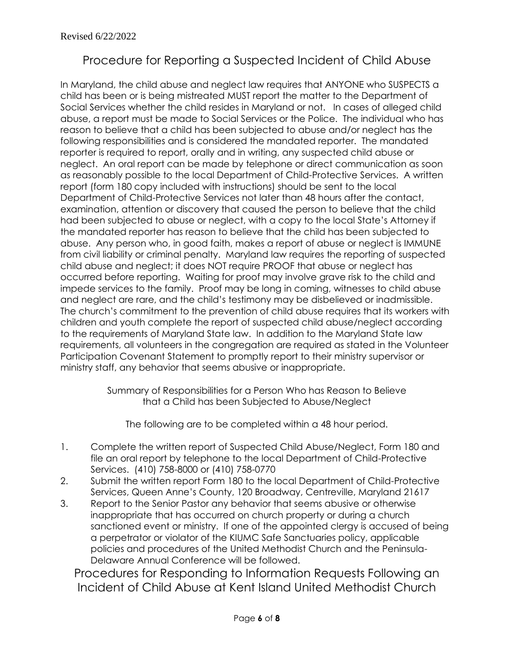# Procedure for Reporting a Suspected Incident of Child Abuse

In Maryland, the child abuse and neglect law requires that ANYONE who SUSPECTS a child has been or is being mistreated MUST report the matter to the Department of Social Services whether the child resides in Maryland or not. In cases of alleged child abuse, a report must be made to Social Services or the Police. The individual who has reason to believe that a child has been subjected to abuse and/or neglect has the following responsibilities and is considered the mandated reporter. The mandated reporter is required to report, orally and in writing, any suspected child abuse or neglect. An oral report can be made by telephone or direct communication as soon as reasonably possible to the local Department of Child-Protective Services. A written report (form 180 copy included with instructions) should be sent to the local Department of Child-Protective Services not later than 48 hours after the contact, examination, attention or discovery that caused the person to believe that the child had been subjected to abuse or neglect, with a copy to the local State's Attorney if the mandated reporter has reason to believe that the child has been subjected to abuse. Any person who, in good faith, makes a report of abuse or neglect is IMMUNE from civil liability or criminal penalty. Maryland law requires the reporting of suspected child abuse and neglect; it does NOT require PROOF that abuse or neglect has occurred before reporting. Waiting for proof may involve grave risk to the child and impede services to the family. Proof may be long in coming, witnesses to child abuse and neglect are rare, and the child's testimony may be disbelieved or inadmissible. The church's commitment to the prevention of child abuse requires that its workers with children and youth complete the report of suspected child abuse/neglect according to the requirements of Maryland State law. In addition to the Maryland State law requirements, all volunteers in the congregation are required as stated in the Volunteer Participation Covenant Statement to promptly report to their ministry supervisor or ministry staff, any behavior that seems abusive or inappropriate.

> Summary of Responsibilities for a Person Who has Reason to Believe that a Child has been Subjected to Abuse/Neglect

The following are to be completed within a 48 hour period.

- 1. Complete the written report of Suspected Child Abuse/Neglect, Form 180 and file an oral report by telephone to the local Department of Child-Protective Services. (410) 758-8000 or (410) 758-0770
- 2. Submit the written report Form 180 to the local Department of Child-Protective Services, Queen Anne's County, 120 Broadway, Centreville, Maryland 21617
- 3. Report to the Senior Pastor any behavior that seems abusive or otherwise inappropriate that has occurred on church property or during a church sanctioned event or ministry. If one of the appointed clergy is accused of being a perpetrator or violator of the KIUMC Safe Sanctuaries policy, applicable policies and procedures of the United Methodist Church and the Peninsula-Delaware Annual Conference will be followed.

Procedures for Responding to Information Requests Following an Incident of Child Abuse at Kent Island United Methodist Church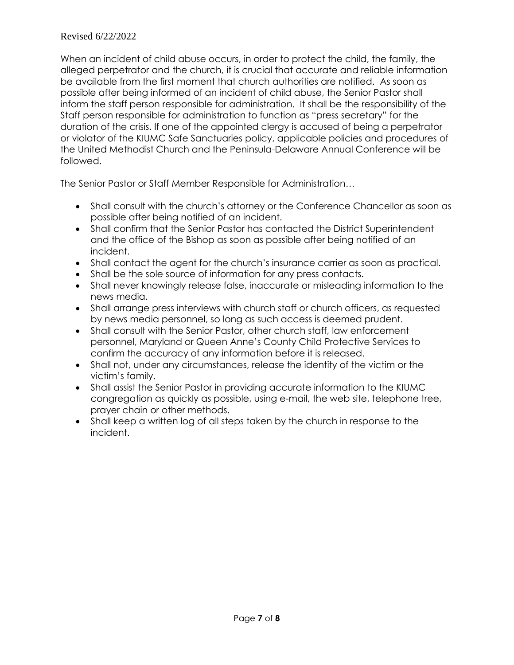### Revised 6/22/2022

When an incident of child abuse occurs, in order to protect the child, the family, the alleged perpetrator and the church, it is crucial that accurate and reliable information be available from the first moment that church authorities are notified. As soon as possible after being informed of an incident of child abuse, the Senior Pastor shall inform the staff person responsible for administration. It shall be the responsibility of the Staff person responsible for administration to function as "press secretary" for the duration of the crisis. If one of the appointed clergy is accused of being a perpetrator or violator of the KIUMC Safe Sanctuaries policy, applicable policies and procedures of the United Methodist Church and the Peninsula-Delaware Annual Conference will be followed.

The Senior Pastor or Staff Member Responsible for Administration…

- Shall consult with the church's attorney or the Conference Chancellor as soon as possible after being notified of an incident.
- Shall confirm that the Senior Pastor has contacted the District Superintendent and the office of the Bishop as soon as possible after being notified of an incident.
- Shall contact the agent for the church's insurance carrier as soon as practical.
- Shall be the sole source of information for any press contacts.
- Shall never knowingly release false, inaccurate or misleading information to the news media.
- Shall arrange press interviews with church staff or church officers, as requested by news media personnel, so long as such access is deemed prudent.
- Shall consult with the Senior Pastor, other church staff, law enforcement personnel, Maryland or Queen Anne's County Child Protective Services to confirm the accuracy of any information before it is released.
- Shall not, under any circumstances, release the identity of the victim or the victim's family.
- Shall assist the Senior Pastor in providing accurate information to the KIUMC congregation as quickly as possible, using e-mail, the web site, telephone tree, prayer chain or other methods.
- Shall keep a written log of all steps taken by the church in response to the incident.